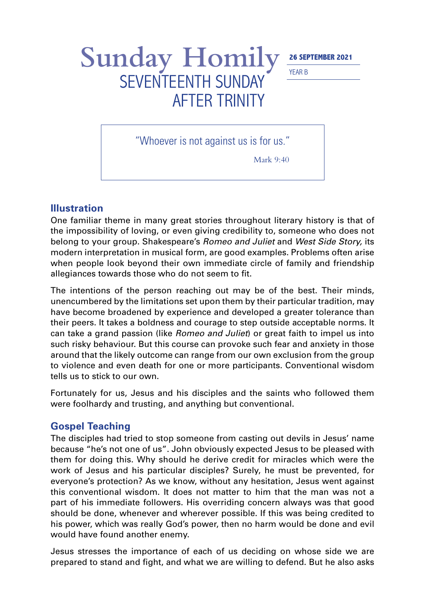YEAR B

## Sunday Homily<sup>26</sup> SEPTEMBER 2021 SEVENTEENTH SUNDAY AFTER TRINITY

"Whoever is not against us is for us."

Mark 9:40

## **Illustration**

One familiar theme in many great stories throughout literary history is that of the impossibility of loving, or even giving credibility to, someone who does not belong to your group. Shakespeare's *Romeo and Juliet* and *West Side Story,* its modern interpretation in musical form, are good examples. Problems often arise when people look beyond their own immediate circle of family and friendship allegiances towards those who do not seem to fit.

The intentions of the person reaching out may be of the best. Their minds, unencumbered by the limitations set upon them by their particular tradition, may have become broadened by experience and developed a greater tolerance than their peers. It takes a boldness and courage to step outside acceptable norms. It can take a grand passion (like *Romeo and Juliet*) or great faith to impel us into such risky behaviour. But this course can provoke such fear and anxiety in those around that the likely outcome can range from our own exclusion from the group to violence and even death for one or more participants. Conventional wisdom tells us to stick to our own.

Fortunately for us, Jesus and his disciples and the saints who followed them were foolhardy and trusting, and anything but conventional.

## **Gospel Teaching**

The disciples had tried to stop someone from casting out devils in Jesus' name because "he's not one of us". John obviously expected Jesus to be pleased with them for doing this. Why should he derive credit for miracles which were the work of Jesus and his particular disciples? Surely, he must be prevented, for everyone's protection? As we know, without any hesitation, Jesus went against this conventional wisdom. It does not matter to him that the man was not a part of his immediate followers. His overriding concern always was that good should be done, whenever and wherever possible. If this was being credited to his power, which was really God's power, then no harm would be done and evil would have found another enemy.

Jesus stresses the importance of each of us deciding on whose side we are prepared to stand and fight, and what we are willing to defend. But he also asks